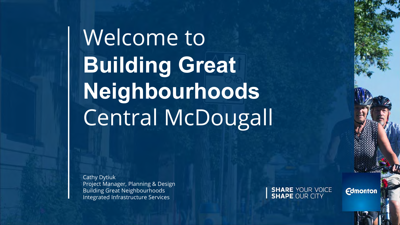Welcome to Building Great Neighbourhoods Central McDougall

Cathy Dytiuk Project Manager, Planning & Design Building Great Neighbourhoods Integrated Infrastructure Services

**SHARE YOUR VOICE**<br>**SHAPE OUR CITY** 

**Edmonton**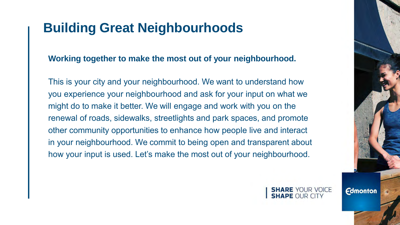### **Building Great Neighbourhoods**

**Working together to make the most out of your neighbourhood.**

This is your city and your neighbourhood. We want to understand how you experience your neighbourhood and ask for your input on what we might do to make it better. We will engage and work with you on the renewal of roads, sidewalks, streetlights and park spaces, and promote other community opportunities to enhance how people live and interact in your neighbourhood. We commit to being open and transparent about how your input is used. Let's make the most out of your neighbourhood.

> **SHARE YOUR VOICE APE OUR CITY**

**Edmonton**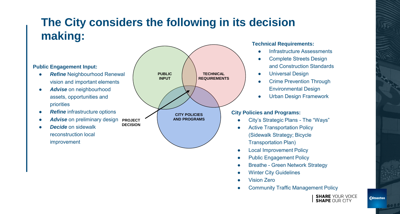# **The City considers the following in its decision making:** Technical Requirements:

- City's Strategic Plans The "Ways"
- Active Transportation Policy (Sidewalk Strategy; Bicycle Transportation Plan)
- **Local Improvement Policy**
- Public Engagement Policy
- Breathe Green Network Strategy
- **Winter City Guidelines**
- Vision Zero
- **Edmonton.com • Community Traffic Management Policy**

**SHARE YOUR VOICE SHAPE OUR CITY** 







- **Infrastructure Assessments**
- **Complete Streets Design** and Construction Standards
- **Universal Design**
- **Crime Prevention Through** Environmental Design
- **Urban Design Framework**

### **City Policies and Programs:**

- **Refine Neighbourhood Renewal** vision and important elements
- *Advise* on neighbourhood assets, opportunities and priorities
- **Refine** infrastructure options
- Advise on preliminary design
- *Decide* on sidewalk reconstruction local improvement

## **Public Engagement Input:**